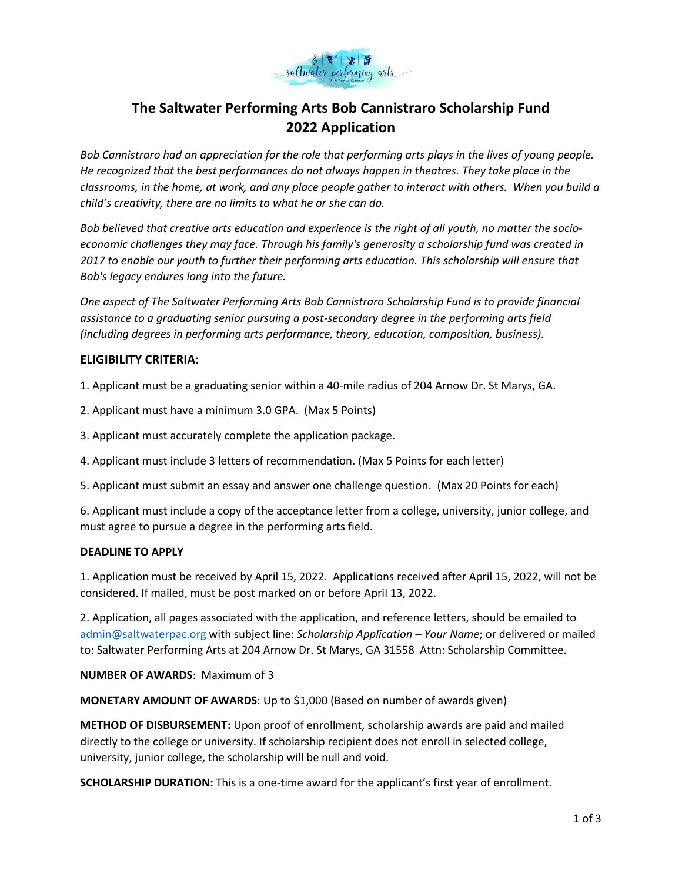

# **The Saltwater Performing Arts Bob Cannistraro Scholarship Fund 2022 Application**

*Bob Cannistraro had an appreciation for the role that performing arts plays in the lives of young people. He recognized that the best performances do not always happen in theatres. They take place in the classrooms, in the home, at work, and any place people gather to interact with others. When you build a child's creativity, there are no limits to what he or she can do.*

*Bob believed that creative arts education and experience is the right of all youth, no matter the socioeconomic challenges they may face. Through his family's generosity a scholarship fund was created in 2017 to enable our youth to further their performing arts education. This scholarship will ensure that Bob's legacy endures long into the future.*

*One aspect of The Saltwater Performing Arts Bob Cannistraro Scholarship Fund is to provide financial assistance to a graduating senior pursuing a post-secondary degree in the performing arts field (including degrees in performing arts performance, theory, education, composition, business).* 

## **ELIGIBILITY CRITERIA:**

1. Applicant must be a graduating senior within a 40-mile radius of 204 Arnow Dr. St Marys, GA.

- 2. Applicant must have a minimum 3.0 GPA. (Max 5 Points)
- 3. Applicant must accurately complete the application package.
- 4. Applicant must include 3 letters of recommendation. (Max 5 Points for each letter)
- 5. Applicant must submit an essay and answer one challenge question. (Max 20 Points for each)

6. Applicant must include a copy of the acceptance letter from a college, university, junior college, and must agree to pursue a degree in the performing arts field.

### **DEADLINE TO APPLY**

1. Application must be received by April 15, 2022. Applications received after April 15, 2022, will not be considered. If mailed, must be post marked on or before April 13, 2022.

2. Application, all pages associated with the application, and reference letters, should be emailed to [admin@saltwaterpac.org](mailto:admin@saltwaterpac.org) with subject line: *Scholarship Application – Your Name*; or delivered or mailed to: Saltwater Performing Arts at 204 Arnow Dr. St Marys, GA 31558 Attn: Scholarship Committee.

**NUMBER OF AWARDS**: Maximum of 3

**MONETARY AMOUNT OF AWARDS**: Up to \$1,000 (Based on number of awards given)

**METHOD OF DISBURSEMENT:** Upon proof of enrollment, scholarship awards are paid and mailed directly to the college or university. If scholarship recipient does not enroll in selected college, university, junior college, the scholarship will be null and void.

**SCHOLARSHIP DURATION:** This is a one-time award for the applicant's first year of enrollment.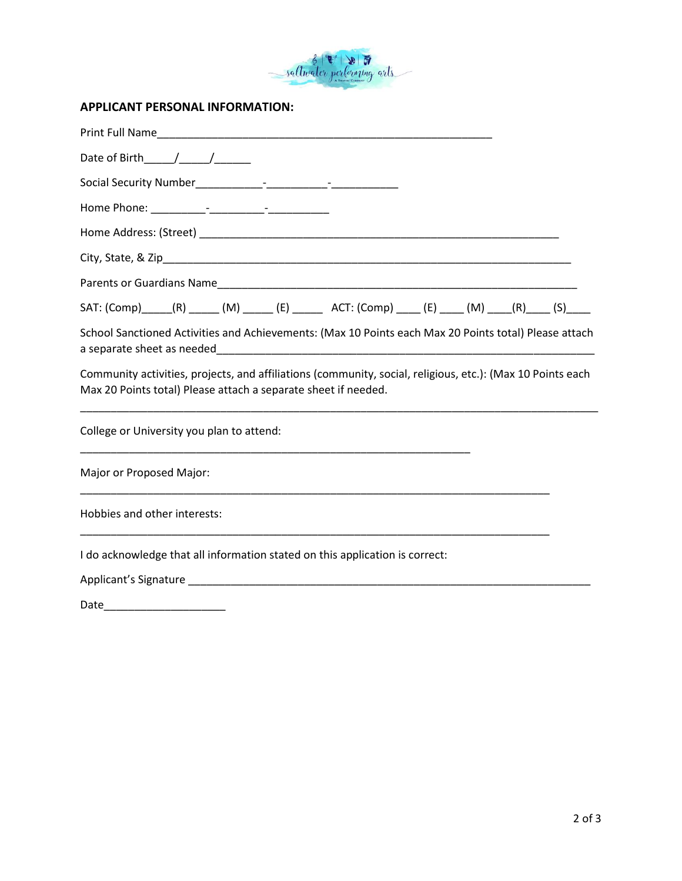

# **APPLICANT PERSONAL INFORMATION:**

Date\_\_\_\_\_\_\_\_\_\_\_\_\_\_\_\_\_\_\_\_